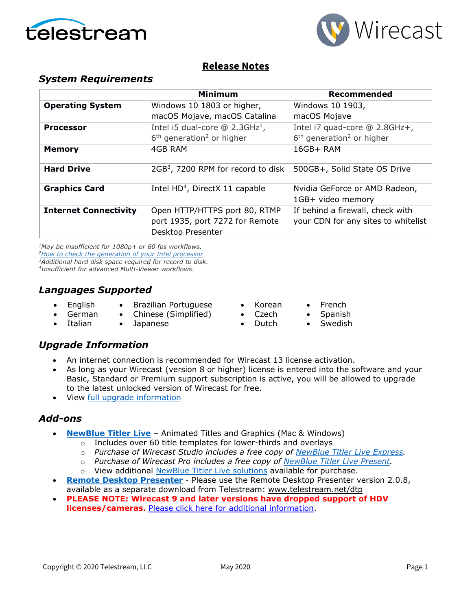



## **Release Notes**

## *System Requirements*

|                              | <b>Minimum</b>                                 | <b>Recommended</b>                      |
|------------------------------|------------------------------------------------|-----------------------------------------|
| <b>Operating System</b>      | Windows 10 1803 or higher,                     | Windows 10 1903,                        |
|                              | macOS Mojave, macOS Catalina                   | macOS Mojave                            |
| <b>Processor</b>             | Intel i5 dual-core $@ 2.3GHz1$ ,               | Intel i7 quad-core @ 2.8GHz+,           |
|                              | $6th$ generation <sup>2</sup> or higher        | $6th$ generation <sup>2</sup> or higher |
| <b>Memory</b>                | 4GB RAM                                        | 16GB+ RAM                               |
|                              |                                                |                                         |
| <b>Hard Drive</b>            | 2GB <sup>3</sup> , 7200 RPM for record to disk | 500GB+, Solid State OS Drive            |
|                              |                                                |                                         |
| <b>Graphics Card</b>         | Intel HD <sup>4</sup> , DirectX 11 capable     | Nvidia GeForce or AMD Radeon,           |
|                              |                                                | 1GB+ video memory                       |
| <b>Internet Connectivity</b> | Open HTTP/HTTPS port 80, RTMP                  | If behind a firewall, check with        |
|                              | port 1935, port 7272 for Remote                | your CDN for any sites to whitelist     |
|                              | Desktop Presenter                              |                                         |

*1May be insufficient for 1080p+ or 60 fps workflows. [2How to check the generation of your Intel](http://www.telestream.net/telestream-support/wire-cast/faq.htm?kbURL=http://telestream.force.com/kb/articles/Knowledge_Article/Wirecast-How-to-check-the-generation-of-your-Intel-processor/) processor 3Additional hard disk space required for record to disk. 4Insufficient for advanced Multi-Viewer workflows.*

## *Languages Supported*

- English
- Brazilian Portuguese
- German • Chinese (Simplified)
- Italian • Japanese
- Korean
- French • Spanish
- Czech • Dutch
	- **Swedish**

## *Upgrade Information*

- An internet connection is recommended for Wirecast 13 license activation.
- As long as your Wirecast (version 8 or higher) license is entered into the software and your Basic, Standard or Premium support subscription is active, you will be allowed to upgrade to the latest unlocked version of Wirecast for free.
- View [full upgrade information](http://www.telestream.net/wirecast/upgrade.htm#upgrade)

## *Add-ons*

- **[NewBlue Titler Live](http://www.telestream.net/wirecast/newblue.htm)** Animated Titles and Graphics (Mac & Windows)
	- o Includes over 60 title templates for lower-thirds and overlays
	- o *Purchase of Wirecast Studio includes a free copy of [NewBlue Titler Live Express.](https://www.telestream.net/wirecast/newblue.htm#buy)*
	- o *Purchase of Wirecast Pro includes a free copy of [NewBlue Titler Live Present.](https://www.telestream.net/wirecast/newblue.htm#present)*
	- o View additional [NewBlue Titler Live solutions](https://www.telestream.net/wirecast/newblue.htm#solutions) available for purchase.
- **[Remote Desktop Presenter](http://www.telestream.net/dtp)** Please use the Remote Desktop Presenter version 2.0.8, available as a separate download from Telestream: [www.telestream.net/dtp](http://www.telestream.net/dtp)
- **PLEASE NOTE: Wirecast 9 and later versions have dropped support of HDV licenses/cameras.** [Please click here for additional information.](http://www.telestream.net/telestream-support/wire-cast/faq.htm?kbURL=http://telestream.force.com/kb/articles/Knowledge_Article/Wirecast-HDV-Firewire-No-longer-Supported/)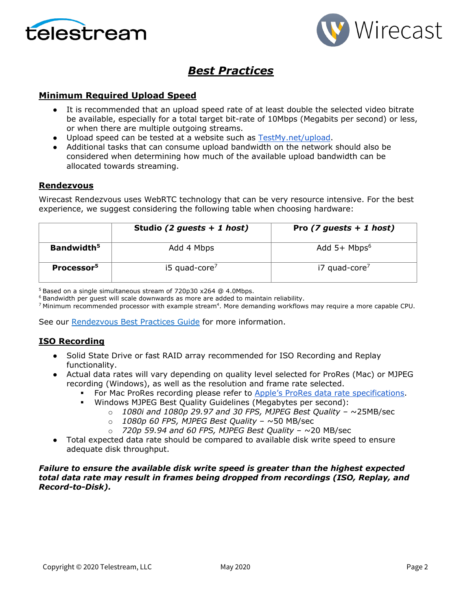



# *Best Practices*

### **Minimum Required Upload Speed**

- It is recommended that an upload speed rate of at least double the selected video bitrate be available, especially for a total target bit-rate of 10Mbps (Megabits per second) or less, or when there are multiple outgoing streams.
- Upload speed can be tested at a website such as [TestMy.net/upload.](http://testmy.net/upload)
- Additional tasks that can consume upload bandwidth on the network should also be considered when determining how much of the available upload bandwidth can be allocated towards streaming.

#### **Rendezvous**

Wirecast Rendezvous uses WebRTC technology that can be very resource intensive. For the best experience, we suggest considering the following table when choosing hardware:

|                        | Studio (2 guests $+ 1$ host) | Pro $(7$ guests + 1 host)  |
|------------------------|------------------------------|----------------------------|
| Bandwidth <sup>5</sup> | Add 4 Mbps                   | Add $5+$ Mbps <sup>6</sup> |
| Processor <sup>5</sup> | $15$ quad-core <sup>7</sup>  | i7 quad-core <sup>7</sup>  |

<sup>5</sup> Based on a single simultaneous stream of 720p30 x264 @ 4.0Mbps.

<sup>6</sup> Bandwidth per guest will scale downwards as more are added to maintain reliability.

<sup>7</sup> Minimum recommended processor with example stream<sup>4</sup>. More demanding workflows may require a more capable CPU.

See our [Rendezvous Best Practices Guide](http://www.telestream.net/pdfs/technical/Wirecast-Rendezvous-Best-Practices-Guide.pdf) for more information.

#### **ISO Recording**

- Solid State Drive or fast RAID array recommended for ISO Recording and Replay functionality.
- Actual data rates will vary depending on quality level selected for ProRes (Mac) or MJPEG recording (Windows), as well as the resolution and frame rate selected.
	- For Mac ProRes recording please refer to [Apple's ProRes data rate specifications.](https://en.wikipedia.org/wiki/Apple_ProRes#ProRes-Overview)
		- Windows MJPEG Best Quality Guidelines (Megabytes per second):
			- o *1080i and 1080p 29.97 and 30 FPS, MJPEG Best Quality* ~25MB/sec
			- o *1080p 60 FPS, MJPEG Best Quality* ~50 MB/sec
			- o *720p 59.94 and 60 FPS, MJPEG Best Quality* ~20 MB/sec
- Total expected data rate should be compared to available disk write speed to ensure adequate disk throughput.

#### *Failure to ensure the available disk write speed is greater than the highest expected total data rate may result in frames being dropped from recordings (ISO, Replay, and Record-to-Disk).*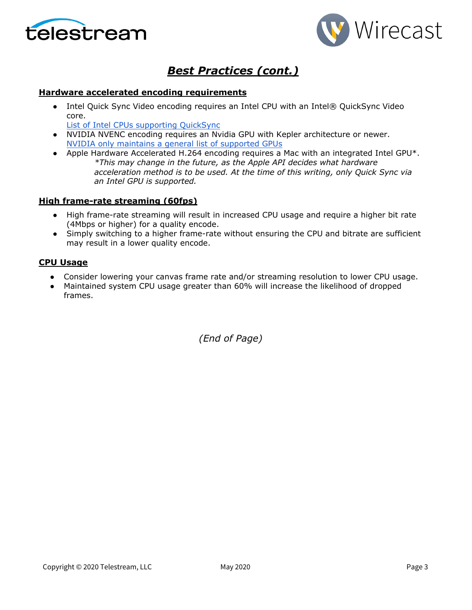



# *Best Practices (cont.)*

#### **Hardware accelerated encoding requirements**

• Intel Quick Sync Video encoding requires an Intel CPU with an Intel® QuickSync Video core[.](http://ark.intel.com/search/advanced?QuickSyncVideo=true&MarketSegment=DT)

[List of Intel CPUs supporting QuickSync](https://ark.intel.com/content/www/us/en/ark/search/featurefilter.html?productType=873&0_QuickSyncVideo=True)

- NVIDIA NVENC encoding requires an Nvidia GPU with Kepler architecture or newer[.](https://developer.nvidia.com/nvidia-video-codec-sdk) [NVIDIA only maintains a general list of supported GPUs](https://developer.nvidia.com/nvidia-video-codec-sdk)
- Apple Hardware Accelerated H.264 encoding requires a Mac with an integrated Intel GPU\*. *\*This may change in the future, as the Apple API decides what hardware acceleration method is to be used. At the time of this writing, only Quick Sync via an Intel GPU is supported.*

### **High frame-rate streaming (60fps)**

- High frame-rate streaming will result in increased CPU usage and require a higher bit rate (4Mbps or higher) for a quality encode.
- Simply switching to a higher frame-rate without ensuring the CPU and bitrate are sufficient may result in a lower quality encode.

### **CPU Usage**

- Consider lowering your canvas frame rate and/or streaming resolution to lower CPU usage.
- Maintained system CPU usage greater than 60% will increase the likelihood of dropped frames.

*(End of Page)*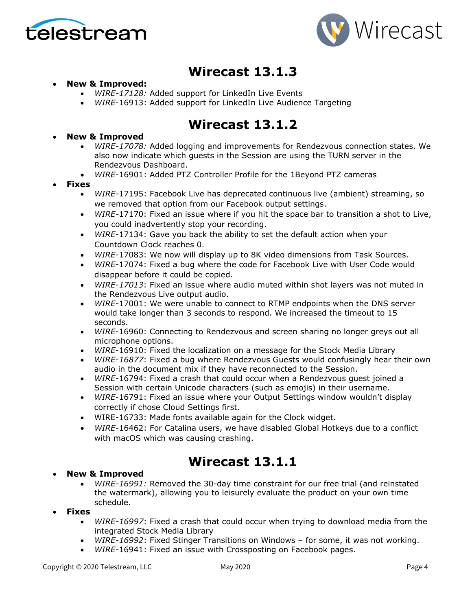



# **Wirecast 13.1.3**

### • **New & Improved:**

- *WIRE-17128:* Added support for LinkedIn Live Events
- *WIRE*-16913: Added support for LinkedIn Live Audience Targeting

# **Wirecast 13.1.2**

- **New & Improved**
	- *WIRE-17078:* Added logging and improvements for Rendezvous connection states. We also now indicate which guests in the Session are using the TURN server in the Rendezvous Dashboard.
	- *WIRE*-16901: Added PTZ Controller Profile for the 1Beyond PTZ cameras
- **Fixes**
	- *WIRE*-17195: Facebook Live has deprecated continuous live (ambient) streaming, so we removed that option from our Facebook output settings.
	- *WIRE*-17170: Fixed an issue where if you hit the space bar to transition a shot to Live, you could inadvertently stop your recording.
	- *WIRE*-17134: Gave you back the ability to set the default action when your Countdown Clock reaches 0.
	- *WIRE*-17083: We now will display up to 8K video dimensions from Task Sources.
	- *WIRE*-17074: Fixed a bug where the code for Facebook Live with User Code would disappear before it could be copied.
	- *WIRE-17013*: Fixed an issue where audio muted within shot layers was not muted in the Rendezvous Live output audio.
	- *WIRE*-17001: We were unable to connect to RTMP endpoints when the DNS server would take longer than 3 seconds to respond. We increased the timeout to 15 seconds.
	- *WIRE*-16960: Connecting to Rendezvous and screen sharing no longer greys out all microphone options.
	- *WIRE*-16910: Fixed the localization on a message for the Stock Media Library
	- *WIRE-16877*: Fixed a bug where Rendezvous Guests would confusingly hear their own audio in the document mix if they have reconnected to the Session.
	- *WIRE*-16794: Fixed a crash that could occur when a Rendezvous guest joined a Session with certain Unicode characters (such as emojis) in their username.
	- *WIRE*-16791: Fixed an issue where your Output Settings window wouldn't display correctly if chose Cloud Settings first.
	- WIRE-16733: Made fonts available again for the Clock widget.
	- *WIRE*-16462: For Catalina users, we have disabled Global Hotkeys due to a conflict with macOS which was causing crashing.

# **Wirecast 13.1.1**

#### • **New & Improved**

- *WIRE-16991:* Removed the 30-day time constraint for our free trial (and reinstated the watermark), allowing you to leisurely evaluate the product on your own time schedule.
- **Fixes**
	- *WIRE-16997*: Fixed a crash that could occur when trying to download media from the integrated Stock Media Library
	- *WIRE-16992*: Fixed Stinger Transitions on Windows for some, it was not working.
	- *WIRE*-16941: Fixed an issue with Crossposting on Facebook pages.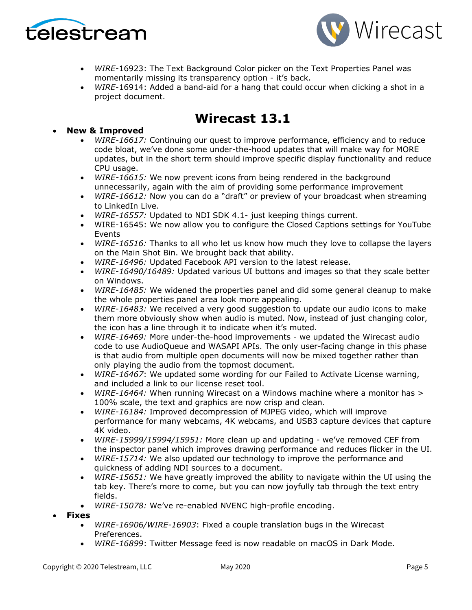



- *WIRE*-16923: The Text Background Color picker on the Text Properties Panel was momentarily missing its transparency option - it's back.
- *WIRE*-16914: Added a band-aid for a hang that could occur when clicking a shot in a project document.

# **Wirecast 13.1**

### • **New & Improved**

- *WIRE-16617:* Continuing our quest to improve performance, efficiency and to reduce code bloat, we've done some under-the-hood updates that will make way for MORE updates, but in the short term should improve specific display functionality and reduce CPU usage.
- *WIRE-16615:* We now prevent icons from being rendered in the background unnecessarily, again with the aim of providing some performance improvement
- *WIRE-16612:* Now you can do a "draft" or preview of your broadcast when streaming to LinkedIn Live.
- *WIRE-16557:* Updated to NDI SDK 4.1- just keeping things current.
- WIRE-16545: We now allow you to configure the Closed Captions settings for YouTube Events
- *WIRE-16516:* Thanks to all who let us know how much they love to collapse the layers on the Main Shot Bin. We brought back that ability.
- *WIRE-16496:* Updated Facebook API version to the latest release.
- *WIRE-16490/16489:* Updated various UI buttons and images so that they scale better on Windows.
- *WIRE-16485:* We widened the properties panel and did some general cleanup to make the whole properties panel area look more appealing.
- *WIRE-16483:* We received a very good suggestion to update our audio icons to make them more obviously show when audio is muted. Now, instead of just changing color, the icon has a line through it to indicate when it's muted.
- *WIRE-16469:* More under-the-hood improvements we updated the Wirecast audio code to use AudioQueue and WASAPI APIs. The only user-facing change in this phase is that audio from multiple open documents will now be mixed together rather than only playing the audio from the topmost document.
- *WIRE-16467*: We updated some wording for our Failed to Activate License warning, and included a link to our license reset tool.
- *WIRE-16464:* When running Wirecast on a Windows machine where a monitor has > 100% scale, the text and graphics are now crisp and clean.
- *WIRE-16184:* Improved decompression of MJPEG video, which will improve performance for many webcams, 4K webcams, and USB3 capture devices that capture 4K video.
- *WIRE-15999/15994/15951:* More clean up and updating we've removed CEF from the inspector panel which improves drawing performance and reduces flicker in the UI.
- *WIRE-15714:* We also updated our technology to improve the performance and quickness of adding NDI sources to a document.
- *WIRE-15651:* We have greatly improved the ability to navigate within the UI using the tab key. There's more to come, but you can now joyfully tab through the text entry fields.
- *WIRE-15078:* We've re-enabled NVENC high-profile encoding.
- **Fixes**
	- *WIRE-16906/WIRE-16903*: Fixed a couple translation bugs in the Wirecast Preferences.
	- *WIRE-16899*: Twitter Message feed is now readable on macOS in Dark Mode.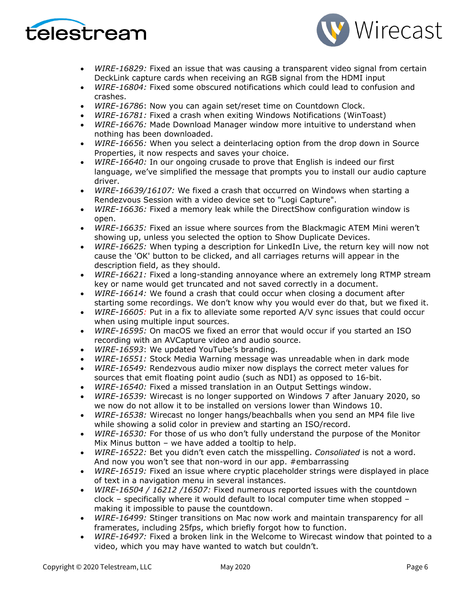



- *WIRE-16829:* Fixed an issue that was causing a transparent video signal from certain DeckLink capture cards when receiving an RGB signal from the HDMI input
- *WIRE-16804:* Fixed some obscured notifications which could lead to confusion and crashes.
- *WIRE-16786*: Now you can again set/reset time on Countdown Clock.
- *WIRE-16781:* Fixed a crash when exiting Windows Notifications (WinToast)
- *WIRE-16676:* Made Download Manager window more intuitive to understand when nothing has been downloaded.
- *WIRE-16656:* When you select a deinterlacing option from the drop down in Source Properties, it now respects and saves your choice.
- *WIRE-16640:* In our ongoing crusade to prove that English is indeed our first language, we've simplified the message that prompts you to install our audio capture driver.
- *WIRE-16639/16107:* We fixed a crash that occurred on Windows when starting a Rendezvous Session with a video device set to "Logi Capture".
- *WIRE-16636:* Fixed a memory leak while the DirectShow configuration window is open.
- *WIRE-16635:* Fixed an issue where sources from the Blackmagic ATEM Mini weren't showing up, unless you selected the option to Show Duplicate Devices.
- *WIRE-16625:* When typing a description for LinkedIn Live, the return key will now not cause the 'OK' button to be clicked, and all carriages returns will appear in the description field, as they should.
- *WIRE-16621:* Fixed a long-standing annoyance where an extremely long RTMP stream key or name would get truncated and not saved correctly in a document.
- *WIRE-16614:* We found a crash that could occur when closing a document after starting some recordings. We don't know why you would ever do that, but we fixed it.
- *WIRE-16605:* Put in a fix to alleviate some reported A/V sync issues that could occur when using multiple input sources.
- *WIRE-16595:* On macOS we fixed an error that would occur if you started an ISO recording with an AVCapture video and audio source.
- *WIRE-16593*: We updated YouTube's branding.
- *WIRE-16551:* Stock Media Warning message was unreadable when in dark mode
- *WIRE-16549:* Rendezvous audio mixer now displays the correct meter values for sources that emit floating point audio (such as NDI) as opposed to 16-bit.
- *WIRE-16540:* Fixed a missed translation in an Output Settings window.
- *WIRE-16539:* Wirecast is no longer supported on Windows 7 after January 2020, so we now do not allow it to be installed on versions lower than Windows 10.
- *WIRE-16538:* Wirecast no longer hangs/beachballs when you send an MP4 file live while showing a solid color in preview and starting an ISO/record.
- *WIRE-16530:* For those of us who don't fully understand the purpose of the Monitor Mix Minus button – we have added a tooltip to help.
- *WIRE-16522:* Bet you didn't even catch the misspelling. *Consoliated* is not a word. And now you won't see that non-word in our app. #embarrassing
- *WIRE-16519:* Fixed an issue where cryptic placeholder strings were displayed in place of text in a navigation menu in several instances.
- *WIRE-16504 / 16212 /16507:* Fixed numerous reported issues with the countdown clock – specifically where it would default to local computer time when stopped – making it impossible to pause the countdown.
- *WIRE-16499:* Stinger transitions on Mac now work and maintain transparency for all framerates, including 25fps, which briefly forgot how to function.
- *WIRE-16497:* Fixed a broken link in the Welcome to Wirecast window that pointed to a video, which you may have wanted to watch but couldn't.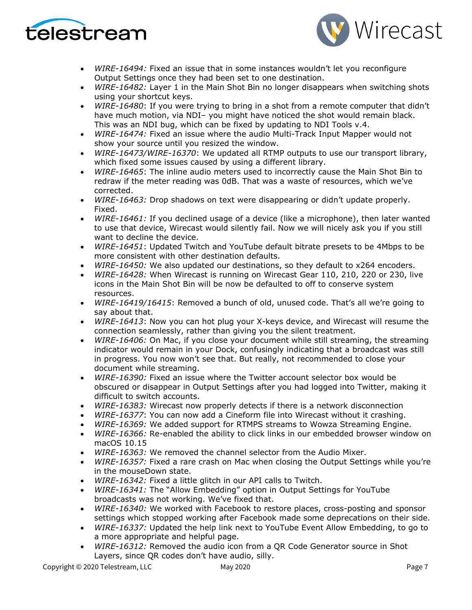



- *WIRE-16494:* Fixed an issue that in some instances wouldn't let you reconfigure Output Settings once they had been set to one destination.
- *WIRE-16482:* Layer 1 in the Main Shot Bin no longer disappears when switching shots using your shortcut keys.
- *WIRE-16480*: If you were trying to bring in a shot from a remote computer that didn't have much motion, via NDI– you might have noticed the shot would remain black. This was an NDI bug, which can be fixed by updating to NDI Tools v.4.
- *WIRE-16474:* Fixed an issue where the audio Multi-Track Input Mapper would not show your source until you resized the window.
- *WIRE-16473/WIRE-16370*: We updated all RTMP outputs to use our transport library, which fixed some issues caused by using a different library.
- *WIRE-16465*: The inline audio meters used to incorrectly cause the Main Shot Bin to redraw if the meter reading was 0dB. That was a waste of resources, which we've corrected.
- *WIRE-16463:* Drop shadows on text were disappearing or didn't update properly. Fixed.
- *WIRE-16461:* If you declined usage of a device (like a microphone), then later wanted to use that device, Wirecast would silently fail. Now we will nicely ask you if you still want to decline the device.
- *WIRE-16451*: Updated Twitch and YouTube default bitrate presets to be 4Mbps to be more consistent with other destination defaults.
- *WIRE-16450:* We also updated our destinations, so they default to x264 encoders.
- *WIRE-16428:* When Wirecast is running on Wirecast Gear 110, 210, 220 or 230, live icons in the Main Shot Bin will be now be defaulted to off to conserve system resources.
- *WIRE-16419/16415*: Removed a bunch of old, unused code. That's all we're going to say about that.
- *WIRE-16413*: Now you can hot plug your X-keys device, and Wirecast will resume the connection seamlessly, rather than giving you the silent treatment.
- *WIRE-16406:* On Mac, if you close your document while still streaming, the streaming indicator would remain in your Dock, confusingly indicating that a broadcast was still in progress. You now won't see that. But really, not recommended to close your document while streaming.
- *WIRE-16390:* Fixed an issue where the Twitter account selector box would be obscured or disappear in Output Settings after you had logged into Twitter, making it difficult to switch accounts.
- *WIRE-16383:* Wirecast now properly detects if there is a network disconnection
- *WIRE-16377*: You can now add a Cineform file into Wirecast without it crashing.
- *WIRE-16369:* We added support for RTMPS streams to Wowza Streaming Engine.
- *WIRE-16366:* Re-enabled the ability to click links in our embedded browser window on macOS 10.15
- *WIRE-16363:* We removed the channel selector from the Audio Mixer.
- *WIRE-16357:* Fixed a rare crash on Mac when closing the Output Settings while you're in the mouseDown state.
- *WIRE-16342:* Fixed a little glitch in our API calls to Twitch.
- *WIRE-16341:* The "Allow Embedding" option in Output Settings for YouTube broadcasts was not working. We've fixed that.
- *WIRE-16340:* We worked with Facebook to restore places, cross-posting and sponsor settings which stopped working after Facebook made some deprecations on their side.
- *WIRE-16337:* Updated the help link next to YouTube Event Allow Embedding, to go to a more appropriate and helpful page.
- *WIRE-16312:* Removed the audio icon from a QR Code Generator source in Shot Layers, since QR codes don't have audio, silly.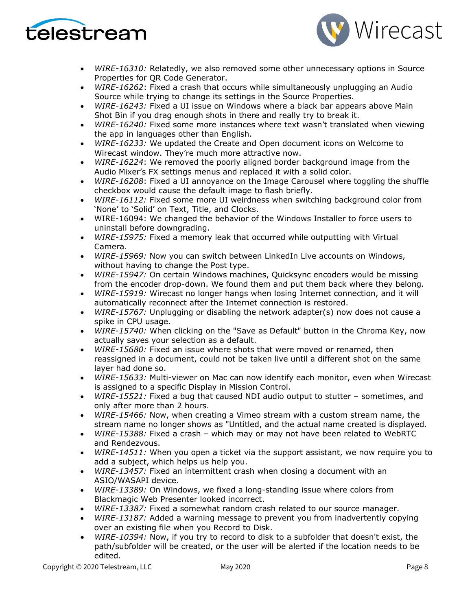



- *WIRE-16310:* Relatedly, we also removed some other unnecessary options in Source Properties for QR Code Generator.
- *WIRE-16262*: Fixed a crash that occurs while simultaneously unplugging an Audio Source while trying to change its settings in the Source Properties.
- *WIRE-16243:* Fixed a UI issue on Windows where a black bar appears above Main Shot Bin if you drag enough shots in there and really try to break it.
- *WIRE-16240:* Fixed some more instances where text wasn't translated when viewing the app in languages other than English.
- *WIRE-16233:* We updated the Create and Open document icons on Welcome to Wirecast window. They're much more attractive now.
- *WIRE-16224*: We removed the poorly aligned border background image from the Audio Mixer's FX settings menus and replaced it with a solid color.
- *WIRE-16208*: Fixed a UI annoyance on the Image Carousel where toggling the shuffle checkbox would cause the default image to flash briefly.
- *WIRE-16112:* Fixed some more UI weirdness when switching background color from 'None' to 'Solid' on Text, Title, and Clocks.
- WIRE-16094: We changed the behavior of the Windows Installer to force users to uninstall before downgrading.
- *WIRE-15975:* Fixed a memory leak that occurred while outputting with Virtual Camera.
- *WIRE-15969:* Now you can switch between LinkedIn Live accounts on Windows, without having to change the Post type.
- *WIRE-15947:* On certain Windows machines, Quicksync encoders would be missing from the encoder drop-down. We found them and put them back where they belong.
- *WIRE-15919:* Wirecast no longer hangs when losing Internet connection, and it will automatically reconnect after the Internet connection is restored.
- *WIRE-15767:* Unplugging or disabling the network adapter(s) now does not cause a spike in CPU usage.
- *WIRE-15740:* When clicking on the "Save as Default" button in the Chroma Key, now actually saves your selection as a default.
- *WIRE-15680:* Fixed an issue where shots that were moved or renamed, then reassigned in a document, could not be taken live until a different shot on the same layer had done so.
- *WIRE-15633:* Multi-viewer on Mac can now identify each monitor, even when Wirecast is assigned to a specific Display in Mission Control.
- *WIRE-15521:* Fixed a bug that caused NDI audio output to stutter sometimes, and only after more than 2 hours.
- *WIRE-15466:* Now, when creating a Vimeo stream with a custom stream name, the stream name no longer shows as "Untitled, and the actual name created is displayed.
- *WIRE-15388:* Fixed a crash which may or may not have been related to WebRTC and Rendezvous.
- *WIRE-14511:* When you open a ticket via the support assistant, we now require you to add a subject, which helps us help you.
- *WIRE-13457:* Fixed an intermittent crash when closing a document with an ASIO/WASAPI device.
- *WIRE-13389:* On Windows, we fixed a long-standing issue where colors from Blackmagic Web Presenter looked incorrect.
- *WIRE-13387:* Fixed a somewhat random crash related to our source manager.
- *WIRE-13187:* Added a warning message to prevent you from inadvertently copying over an existing file when you Record to Disk.
- *WIRE-10394:* Now, if you try to record to disk to a subfolder that doesn't exist, the path/subfolder will be created, or the user will be alerted if the location needs to be edited.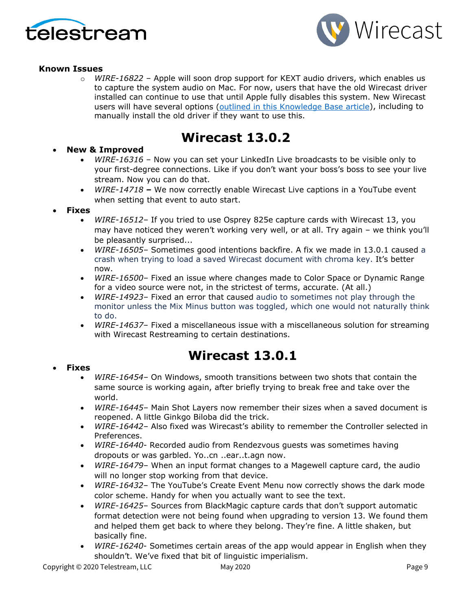



### **Known Issues**

o *WIRE-16822* – Apple will soon drop support for KEXT audio drivers, which enables us to capture the system audio on Mac. For now, users that have the old Wirecast driver installed can continue to use that until Apple fully disables this system. New Wirecast users will have several options [\(outlined in this Knowledge Base article\)](http://telestream.force.com/kb/articles/Knowledge_Article/Wirecast-Cannot-capture-computer-audio-on-new-Mac/?q=t2+chip&l=en_US&c=Product%3AWirecast&fs=Search&pn=1), including to manually install the old driver if they want to use this.

# **Wirecast 13.0.2**

### • **New & Improved**

- *WIRE-16316* Now you can set your LinkedIn Live broadcasts to be visible only to your first-degree connections. Like if you don't want your boss's boss to see your live stream. Now you can do that.
- *WIRE-14718 –* We now correctly enable Wirecast Live captions in a YouTube event when setting that event to auto start.

#### • **Fixes**

- *WIRE-16512* If you tried to use Osprey 825e capture cards with Wirecast 13, you may have noticed they weren't working very well, or at all. Try again – we think you'll be pleasantly surprised...
- *WIRE-16505* Sometimes good intentions backfire. A fix we made in 13.0.1 caused a crash when trying to load a saved Wirecast document with chroma key. It's better now.
- *WIRE-16500* Fixed an issue where changes made to Color Space or Dynamic Range for a video source were not, in the strictest of terms, accurate. (At all.)
- *WIRE-14923* Fixed an error that caused audio to sometimes not play through the monitor unless the Mix Minus button was toggled, which one would not naturally think to do.
- *WIRE-14637* Fixed a miscellaneous issue with a miscellaneous solution for streaming with Wirecast Restreaming to certain destinations.

# **Wirecast 13.0.1**

### • **Fixes**

- *WIRE-16454* On Windows, smooth transitions between two shots that contain the same source is working again, after briefly trying to break free and take over the world.
- *WIRE-16445* Main Shot Layers now remember their sizes when a saved document is reopened. A little Ginkgo Biloba did the trick.
- *WIRE-16442* Also fixed was Wirecast's ability to remember the Controller selected in Preferences.
- *WIRE-16440* Recorded audio from Rendezvous guests was sometimes having dropouts or was garbled. Yo..cn ..ear..t.agn now.
- *WIRE-16479* When an input format changes to a Magewell capture card, the audio will no longer stop working from that device.
- *WIRE-16432* The YouTube's Create Event Menu now correctly shows the dark mode color scheme. Handy for when you actually want to see the text.
- *WIRE-16425* Sources from BlackMagic capture cards that don't support automatic format detection were not being found when upgrading to version 13. We found them and helped them get back to where they belong. They're fine. A little shaken, but basically fine.
- *WIRE-16240* Sometimes certain areas of the app would appear in English when they shouldn't. We've fixed that bit of linguistic imperialism.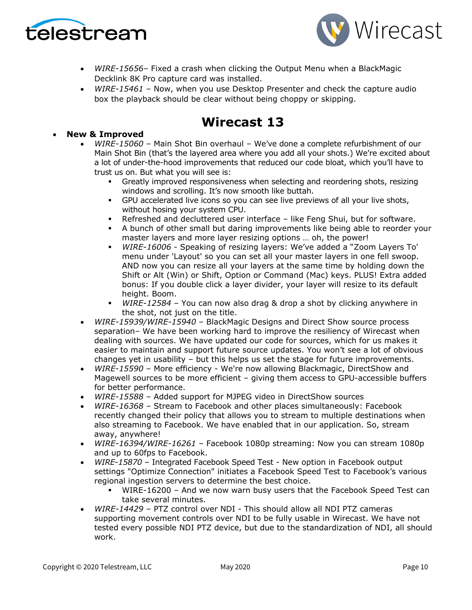



- *WIRE-15656* Fixed a crash when clicking the Output Menu when a BlackMagic Decklink 8K Pro capture card was installed.
- *WIRE-15461* Now, when you use Desktop Presenter and check the capture audio box the playback should be clear without being choppy or skipping.

# **Wirecast 13**

• **New & Improved**

- *WIRE-15060* Main Shot Bin overhaul We've done a complete refurbishment of our Main Shot Bin (that's the layered area where you add all your shots.) We're excited about a lot of under-the-hood improvements that reduced our code bloat, which you'll have to trust us on. But what you will see is:
	- Greatly improved responsiveness when selecting and reordering shots, resizing windows and scrolling. It's now smooth like buttah.
	- GPU accelerated live icons so you can see live previews of all your live shots, without hosing your system CPU.
	- Refreshed and decluttered user interface like Feng Shui, but for software.
	- A bunch of other small but daring improvements like being able to reorder your master layers and more layer resizing options … oh, the power!
	- *WIRE-16006* Speaking of resizing layers: We've added a "Zoom Layers To' menu under 'Layout' so you can set all your master layers in one fell swoop. AND now you can resize all your layers at the same time by holding down the Shift or Alt (Win) or Shift, Option or Command (Mac) keys. PLUS! Extra added bonus: If you double click a layer divider, your layer will resize to its default height. Boom.
	- *WIRE-12584*  You can now also drag & drop a shot by clicking anywhere in the shot, not just on the title.
- *WIRE-15939/WIRE-15940* BlackMagic Designs and Direct Show source process separation– We have been working hard to improve the resiliency of Wirecast when dealing with sources. We have updated our code for sources, which for us makes it easier to maintain and support future source updates. You won't see a lot of obvious changes yet in usability – but this helps us set the stage for future improvements.
- *WIRE-15590* More efficiency We're now allowing Blackmagic, DirectShow and Magewell sources to be more efficient – giving them access to GPU-accessible buffers for better performance.
- *WIRE-15588* Added support for MJPEG video in DirectShow sources
- *WIRE-16368*  Stream to Facebook and other places simultaneously: Facebook recently changed their policy that allows you to stream to multiple destinations when also streaming to Facebook. We have enabled that in our application. So, stream away, anywhere!
- *WIRE-16394/WIRE-16261* Facebook 1080p streaming: Now you can stream 1080p and up to 60fps to Facebook.
- *WIRE-15870*  Integrated Facebook Speed Test New option in Facebook output settings "Optimize Connection" initiates a Facebook Speed Test to Facebook's various regional ingestion servers to determine the best choice.
	- WIRE-16200 And we now warn busy users that the Facebook Speed Test can take several minutes.
- *WIRE-14429* PTZ control over NDI This should allow all NDI PTZ cameras supporting movement controls over NDI to be fully usable in Wirecast. We have not tested every possible NDI PTZ device, but due to the standardization of NDI, all should work.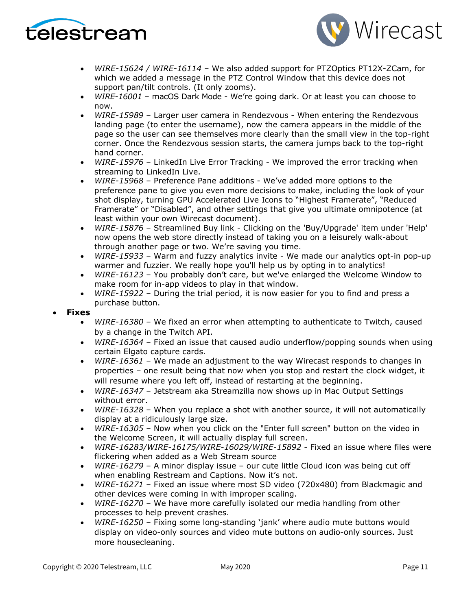



- *WIRE-15624 / WIRE-16114* We also added support for PTZOptics PT12X-ZCam, for which we added a message in the PTZ Control Window that this device does not support pan/tilt controls. (It only zooms).
- *WIRE-16001*  macOS Dark Mode We're going dark. Or at least you can choose to now.
- *WIRE-15989*  Larger user camera in Rendezvous When entering the Rendezvous landing page (to enter the username), now the camera appears in the middle of the page so the user can see themselves more clearly than the small view in the top-right corner. Once the Rendezvous session starts, the camera jumps back to the top-right hand corner.
- *WIRE-15976*  LinkedIn Live Error Tracking We improved the error tracking when streaming to LinkedIn Live.
- *WIRE-15968*  Preference Pane additions We've added more options to the preference pane to give you even more decisions to make, including the look of your shot display, turning GPU Accelerated Live Icons to "Highest Framerate", "Reduced Framerate" or "Disabled", and other settings that give you ultimate omnipotence (at least within your own Wirecast document).
- *WIRE-15876* Streamlined Buy link Clicking on the 'Buy/Upgrade' item under 'Help' now opens the web store directly instead of taking you on a leisurely walk-about through another page or two. We're saving you time.
- *WIRE-15933* Warm and fuzzy analytics invite We made our analytics opt-in pop-up warmer and fuzzier. We really hope you'll help us by opting in to analytics!
- *WIRE-16123*  You probably don't care, but we've enlarged the Welcome Window to make room for in-app videos to play in that window.
- *WIRE-15922*  During the trial period, it is now easier for you to find and press a purchase button.

#### • **Fixes**

- *WIRE-16380*  We fixed an error when attempting to authenticate to Twitch, caused by a change in the Twitch API.
- *WIRE-16364*  Fixed an issue that caused audio underflow/popping sounds when using certain Elgato capture cards.
- *WIRE-16361* We made an adjustment to the way Wirecast responds to changes in properties – one result being that now when you stop and restart the clock widget, it will resume where you left off, instead of restarting at the beginning.
- *WIRE-16347* Jetstream aka Streamzilla now shows up in Mac Output Settings without error.
- *WIRE-16328*  When you replace a shot with another source, it will not automatically display at a ridiculously large size.
- *WIRE-16305*  Now when you click on the "Enter full screen" button on the video in the Welcome Screen, it will actually display full screen.
- *WIRE-16283/WIRE-16175/WIRE-16029/WIRE-15892* Fixed an issue where files were flickering when added as a Web Stream source
- *WIRE-16279*  A minor display issue our cute little Cloud icon was being cut off when enabling Restream and Captions. Now it's not.
- *WIRE-16271* Fixed an issue where most SD video (720x480) from Blackmagic and other devices were coming in with improper scaling.
- *WIRE-16270* We have more carefully isolated our media handling from other processes to help prevent crashes.
- *WIRE-16250* Fixing some long-standing 'jank' where audio mute buttons would display on video-only sources and video mute buttons on audio-only sources. Just more housecleaning.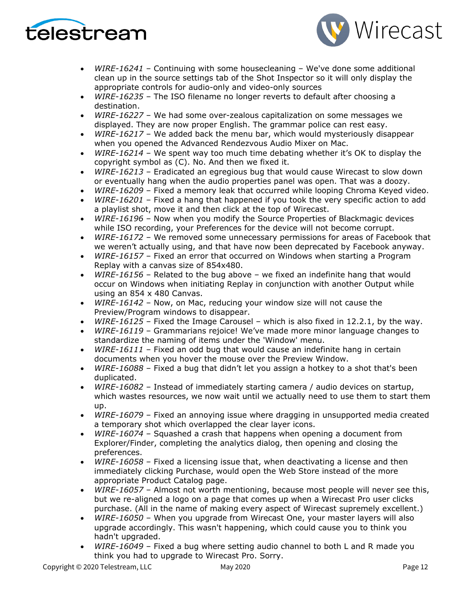



- *WIRE-16241* Continuing with some housecleaning We've done some additional clean up in the source settings tab of the Shot Inspector so it will only display the appropriate controls for audio-only and video-only sources
- *WIRE-16235* The ISO filename no longer reverts to default after choosing a destination.
- *WIRE-16227* We had some over-zealous capitalization on some messages we displayed. They are now proper English. The grammar police can rest easy.
- *WIRE-16217* We added back the menu bar, which would mysteriously disappear when you opened the Advanced Rendezvous Audio Mixer on Mac.
- *WIRE-16214*  We spent way too much time debating whether it's OK to display the copyright symbol as (C). No. And then we fixed it.
- *WIRE-16213* Eradicated an egregious bug that would cause Wirecast to slow down or eventually hang when the audio properties panel was open. That was a doozy.
- *WIRE-16209* Fixed a memory leak that occurred while looping Chroma Keyed video.
- *WIRE-16201* Fixed a hang that happened if you took the very specific action to add a playlist shot, move it and then click at the top of Wirecast.
- *WIRE-16196* Now when you modify the Source Properties of Blackmagic devices while ISO recording, your Preferences for the device will not become corrupt.
- *WIRE-16172* We removed some unnecessary permissions for areas of Facebook that we weren't actually using, and that have now been deprecated by Facebook anyway.
- *WIRE-16157* Fixed an error that occurred on Windows when starting a Program Replay with a canvas size of 854x480.
- *WIRE-16156* Related to the bug above we fixed an indefinite hang that would occur on Windows when initiating Replay in conjunction with another Output while using an 854 x 480 Canvas.
- *WIRE-16142*  Now, on Mac, reducing your window size will not cause the Preview/Program windows to disappear.
- *WIRE-16125*  Fixed the Image Carousel which is also fixed in 12.2.1, by the way.
- *WIRE-16119* Grammarians rejoice! We've made more minor language changes to standardize the naming of items under the 'Window' menu.
- *WIRE-16111*  Fixed an odd bug that would cause an indefinite hang in certain documents when you hover the mouse over the Preview Window.
- *WIRE-16088* Fixed a bug that didn't let you assign a hotkey to a shot that's been duplicated.
- *WIRE-16082*  Instead of immediately starting camera / audio devices on startup, which wastes resources, we now wait until we actually need to use them to start them up.
- *WIRE-16079* Fixed an annoying issue where dragging in unsupported media created a temporary shot which overlapped the clear layer icons.
- *WIRE-16074*  Squashed a crash that happens when opening a document from Explorer/Finder, completing the analytics dialog, then opening and closing the preferences.
- *WIRE-16058*  Fixed a licensing issue that, when deactivating a license and then immediately clicking Purchase, would open the Web Store instead of the more appropriate Product Catalog page.
- *WIRE-16057* Almost not worth mentioning, because most people will never see this, but we re-aligned a logo on a page that comes up when a Wirecast Pro user clicks purchase. (All in the name of making every aspect of Wirecast supremely excellent.)
- *WIRE-16050* When you upgrade from Wirecast One, your master layers will also upgrade accordingly. This wasn't happening, which could cause you to think you hadn't upgraded.
- *WIRE-16049*  Fixed a bug where setting audio channel to both L and R made you think you had to upgrade to Wirecast Pro. Sorry.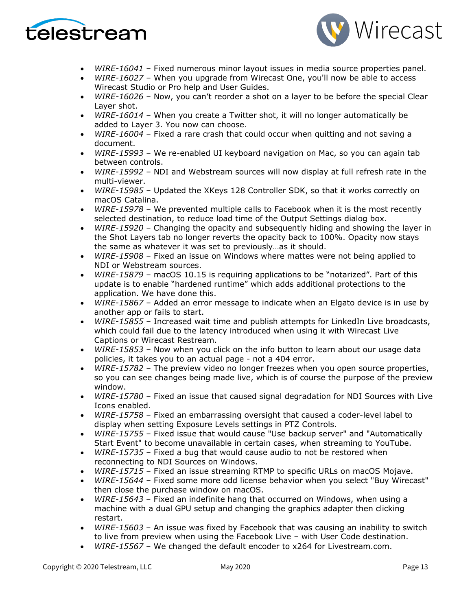



- *WIRE-16041* Fixed numerous minor layout issues in media source properties panel.
- *WIRE-16027* When you upgrade from Wirecast One, you'll now be able to access Wirecast Studio or Pro help and User Guides.
- *WIRE-16026* Now, you can't reorder a shot on a layer to be before the special Clear Layer shot.
- *WIRE-16014*  When you create a Twitter shot, it will no longer automatically be added to Layer 3. You now can choose.
- *WIRE-16004* Fixed a rare crash that could occur when quitting and not saving a document.
- *WIRE-15993*  We re-enabled UI keyboard navigation on Mac, so you can again tab between controls.
- *WIRE-15992* NDI and Webstream sources will now display at full refresh rate in the multi-viewer.
- *WIRE-15985* Updated the XKeys 128 Controller SDK, so that it works correctly on macOS Catalina.
- *WIRE-15978* We prevented multiple calls to Facebook when it is the most recently selected destination, to reduce load time of the Output Settings dialog box.
- *WIRE-15920*  Changing the opacity and subsequently hiding and showing the layer in the Shot Layers tab no longer reverts the opacity back to 100%. Opacity now stays the same as whatever it was set to previously…as it should.
- *WIRE-15908*  Fixed an issue on Windows where mattes were not being applied to NDI or Webstream sources.
- *WIRE-15879*  macOS 10.15 is requiring applications to be "notarized". Part of this update is to enable "hardened runtime" which adds additional protections to the application. We have done this.
- *WIRE-15867*  Added an error message to indicate when an Elgato device is in use by another app or fails to start.
- *WIRE-15855* Increased wait time and publish attempts for LinkedIn Live broadcasts, which could fail due to the latency introduced when using it with Wirecast Live Captions or Wirecast Restream.
- *WIRE-15853* Now when you click on the info button to learn about our usage data policies, it takes you to an actual page - not a 404 error.
- *WIRE-15782*  The preview video no longer freezes when you open source properties, so you can see changes being made live, which is of course the purpose of the preview window.
- *WIRE-15780*  Fixed an issue that caused signal degradation for NDI Sources with Live Icons enabled.
- *WIRE-15758*  Fixed an embarrassing oversight that caused a coder-level label to display when setting Exposure Levels settings in PTZ Controls.
- *WIRE-15755* Fixed issue that would cause "Use backup server" and "Automatically Start Event" to become unavailable in certain cases, when streaming to YouTube.
- *WIRE-15735*  Fixed a bug that would cause audio to not be restored when reconnecting to NDI Sources on Windows.
- *WIRE-15715*  Fixed an issue streaming RTMP to specific URLs on macOS Mojave.
- *WIRE-15644*  Fixed some more odd license behavior when you select "Buy Wirecast" then close the purchase window on macOS.
- *WIRE-15643* Fixed an indefinite hang that occurred on Windows, when using a machine with a dual GPU setup and changing the graphics adapter then clicking restart.
- *WIRE-15603* An issue was fixed by Facebook that was causing an inability to switch to live from preview when using the Facebook Live – with User Code destination.
- *WIRE-15567* We changed the default encoder to x264 for Livestream.com.